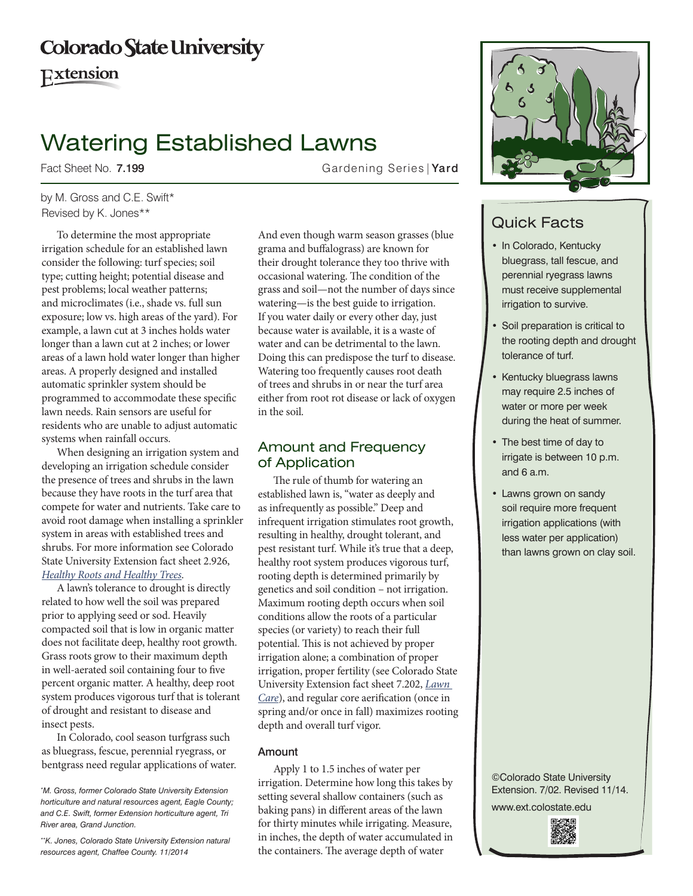# **Colorado State University**

Extension

# Watering Established Lawns

Fact Sheet No. 7.199 **Fact Sheet No. 7.199** Gardening Series | Yard

by M. Gross and C.E. Swift\* Revised by K. Jones\*\*

To determine the most appropriate irrigation schedule for an established lawn consider the following: turf species; soil type; cutting height; potential disease and pest problems; local weather patterns; and microclimates (i.e., shade vs. full sun exposure; low vs. high areas of the yard). For example, a lawn cut at 3 inches holds water longer than a lawn cut at 2 inches; or lower areas of a lawn hold water longer than higher areas. A properly designed and installed automatic sprinkler system should be programmed to accommodate these specific lawn needs. Rain sensors are useful for residents who are unable to adjust automatic systems when rainfall occurs.

When designing an irrigation system and developing an irrigation schedule consider the presence of trees and shrubs in the lawn because they have roots in the turf area that compete for water and nutrients. Take care to avoid root damage when installing a sprinkler system in areas with established trees and shrubs. For more information see Colorado State University Extension fact sheet 2.926, *[Healthy Roots and Healthy Trees](http://www.ext.colostate.edu/pubs/garden/02926.html)*.

A lawn's tolerance to drought is directly related to how well the soil was prepared prior to applying seed or sod. Heavily compacted soil that is low in organic matter does not facilitate deep, healthy root growth. Grass roots grow to their maximum depth in well-aerated soil containing four to five percent organic matter. A healthy, deep root system produces vigorous turf that is tolerant of drought and resistant to disease and insect pests.

In Colorado, cool season turfgrass such as bluegrass, fescue, perennial ryegrass, or bentgrass need regular applications of water. And even though warm season grasses (blue grama and buffalograss) are known for their drought tolerance they too thrive with occasional watering. The condition of the grass and soil—not the number of days since watering—is the best guide to irrigation. If you water daily or every other day, just because water is available, it is a waste of water and can be detrimental to the lawn. Doing this can predispose the turf to disease. Watering too frequently causes root death of trees and shrubs in or near the turf area either from root rot disease or lack of oxygen in the soil.

### Amount and Frequency of Application

The rule of thumb for watering an established lawn is, "water as deeply and as infrequently as possible." Deep and infrequent irrigation stimulates root growth, resulting in healthy, drought tolerant, and pest resistant turf. While it's true that a deep, healthy root system produces vigorous turf, rooting depth is determined primarily by genetics and soil condition – not irrigation. Maximum rooting depth occurs when soil conditions allow the roots of a particular species (or variety) to reach their full potential. This is not achieved by proper irrigation alone; a combination of proper irrigation, proper fertility (see Colorado State University Extension fact sheet 7.202, *[Lawn](http://www.ext.colostate.edu/pubs/garden/07202.html)  [Care](http://www.ext.colostate.edu/pubs/garden/07202.html)*), and regular core aerification (once in spring and/or once in fall) maximizes rooting depth and overall turf vigor.

#### Amount

Apply 1 to 1.5 inches of water per irrigation. Determine how long this takes by setting several shallow containers (such as baking pans) in different areas of the lawn for thirty minutes while irrigating. Measure, in inches, the depth of water accumulated in the containers. The average depth of water



# Quick Facts

- In Colorado, Kentucky bluegrass, tall fescue, and perennial ryegrass lawns must receive supplemental irrigation to survive.
- Soil preparation is critical to the rooting depth and drought tolerance of turf.
- • Kentucky bluegrass lawns may require 2.5 inches of water or more per week during the heat of summer.
- The best time of day to irrigate is between 10 p.m. and 6 a.m.
- Lawns grown on sandy soil require more frequent irrigation applications (with less water per application) than lawns grown on clay soil.

©Colorado State University Extension. 7/02. Revised 11/14.

www.ext.colostate.edu



*<sup>\*</sup> M. Gross, former Colorado State University Extension horticulture and natural resources agent, Eagle County; and C.E. Swift, former Extension horticulture agent, Tri River area, Grand Junction.*

*<sup>\*\*</sup>K. Jones, Colorado State University Extension natural resources agent, Chaffee County. 11/2014*